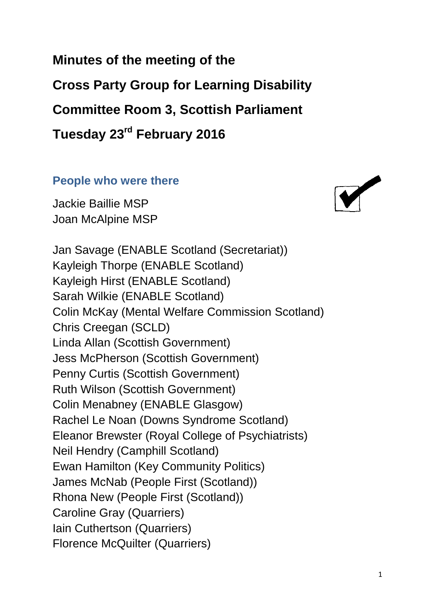**Minutes of the meeting of the Cross Party Group for Learning Disability Committee Room 3, Scottish Parliament Tuesday 23rd February 2016**

#### **People who were there**

Jackie Baillie MSP Joan McAlpine MSP

Jan Savage (ENABLE Scotland (Secretariat)) Kayleigh Thorpe (ENABLE Scotland) Kayleigh Hirst (ENABLE Scotland) Sarah Wilkie (ENABLE Scotland) Colin McKay (Mental Welfare Commission Scotland) Chris Creegan (SCLD) Linda Allan (Scottish Government) Jess McPherson (Scottish Government) Penny Curtis (Scottish Government) Ruth Wilson (Scottish Government) Colin Menabney (ENABLE Glasgow) Rachel Le Noan (Downs Syndrome Scotland) Eleanor Brewster (Royal College of Psychiatrists) Neil Hendry (Camphill Scotland) Ewan Hamilton (Key Community Politics) James McNab (People First (Scotland)) Rhona New (People First (Scotland)) Caroline Gray (Quarriers) Iain Cuthertson (Quarriers) Florence McQuilter (Quarriers)

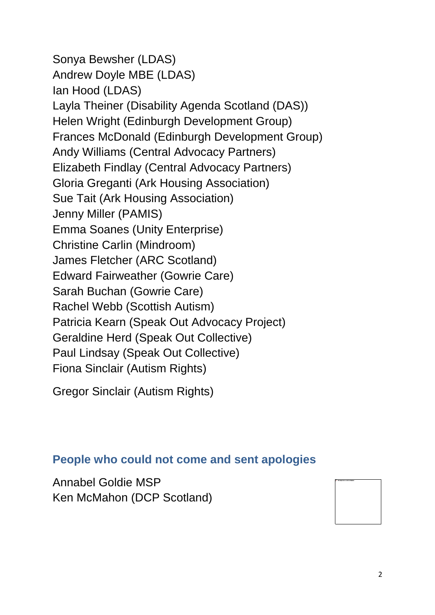Sonya Bewsher (LDAS) Andrew Doyle MBE (LDAS) Ian Hood (LDAS) Layla Theiner (Disability Agenda Scotland (DAS)) Helen Wright (Edinburgh Development Group) Frances McDonald (Edinburgh Development Group) Andy Williams (Central Advocacy Partners) Elizabeth Findlay (Central Advocacy Partners) Gloria Greganti (Ark Housing Association) Sue Tait (Ark Housing Association) Jenny Miller (PAMIS) Emma Soanes (Unity Enterprise) Christine Carlin (Mindroom) James Fletcher (ARC Scotland) Edward Fairweather (Gowrie Care) Sarah Buchan (Gowrie Care) Rachel Webb (Scottish Autism) Patricia Kearn (Speak Out Advocacy Project) Geraldine Herd (Speak Out Collective) Paul Lindsay (Speak Out Collective) Fiona Sinclair (Autism Rights)

Gregor Sinclair (Autism Rights)

#### **People who could not come and sent apologies**

Annabel Goldie MSP Ken McMahon (DCP Scotland)

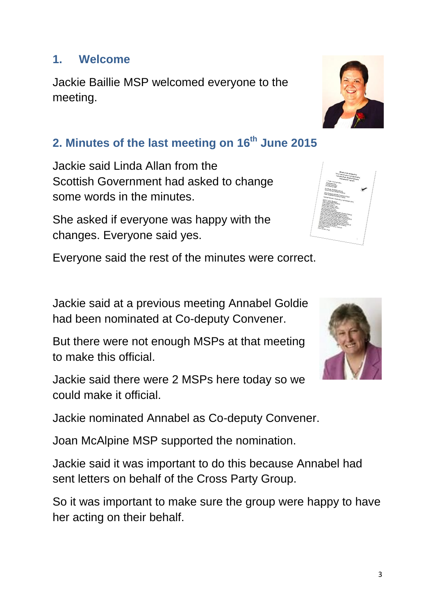3

#### **1. Welcome**

Jackie Baillie MSP welcomed everyone to the meeting.

### **2. Minutes of the last meeting on 16th June 2015**

Jackie said Linda Allan from the Scottish Government had asked to change some words in the minutes.

She asked if everyone was happy with the changes. Everyone said yes.

Everyone said the rest of the minutes were correct.

Jackie said at a previous meeting Annabel Goldie had been nominated at Co-deputy Convener.

But there were not enough MSPs at that meeting to make this official.

Jackie said there were 2 MSPs here today so we could make it official.

Jackie nominated Annabel as Co-deputy Convener.

Joan McAlpine MSP supported the nomination.

Jackie said it was important to do this because Annabel had sent letters on behalf of the Cross Party Group.

So it was important to make sure the group were happy to have her acting on their behalf.





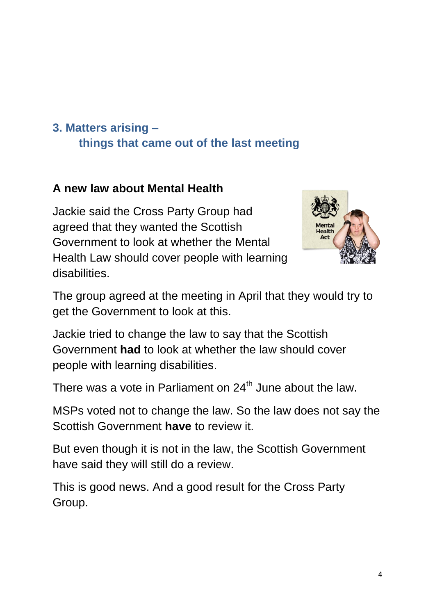# **3. Matters arising – things that came out of the last meeting**

## **A new law about Mental Health**

Jackie said the Cross Party Group had agreed that they wanted the Scottish Government to look at whether the Mental Health Law should cover people with learning disabilities.



The group agreed at the meeting in April that they would try to get the Government to look at this.

Jackie tried to change the law to say that the Scottish Government **had** to look at whether the law should cover people with learning disabilities.

There was a vote in Parliament on  $24<sup>th</sup>$  June about the law.

MSPs voted not to change the law. So the law does not say the Scottish Government **have** to review it.

But even though it is not in the law, the Scottish Government have said they will still do a review.

This is good news. And a good result for the Cross Party Group.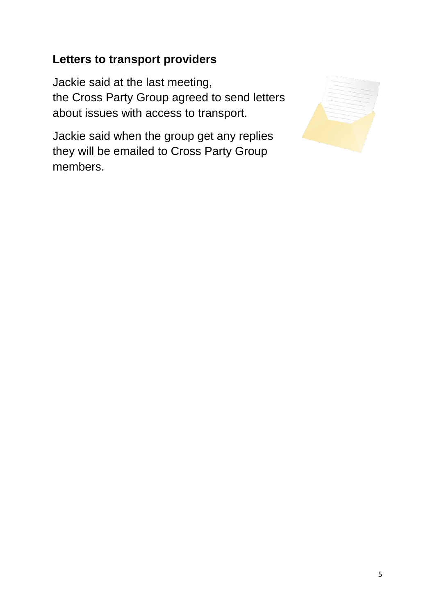#### **Letters to transport providers**

Jackie said at the last meeting, the Cross Party Group agreed to send letters about issues with access to transport.

Jackie said when the group get any replies they will be emailed to Cross Party Group members.

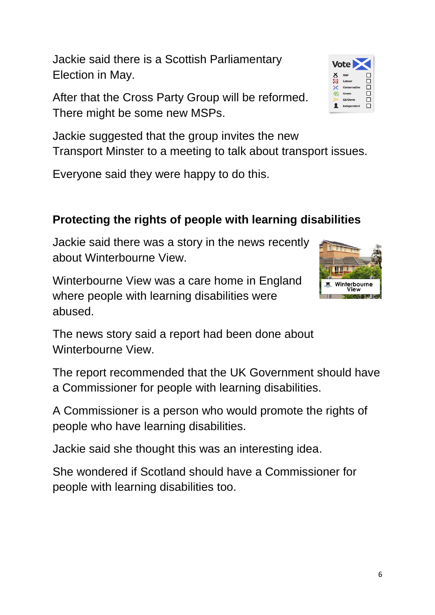Jackie said there is a Scottish Parliamentary Election in May.

After that the Cross Party Group will be reformed. There might be some new MSPs.

Jackie suggested that the group invites the new Transport Minster to a meeting to talk about transport issues.

Everyone said they were happy to do this.

# **Protecting the rights of people with learning disabilities**

Jackie said there was a story in the news recently about Winterbourne View.

Winterbourne View was a care home in England where people with learning disabilities were abused.

The news story said a report had been done about Winterbourne View.

The report recommended that the UK Government should have a Commissioner for people with learning disabilities.

A Commissioner is a person who would promote the rights of people who have learning disabilities.

Jackie said she thought this was an interesting idea.

She wondered if Scotland should have a Commissioner for people with learning disabilities too.

6



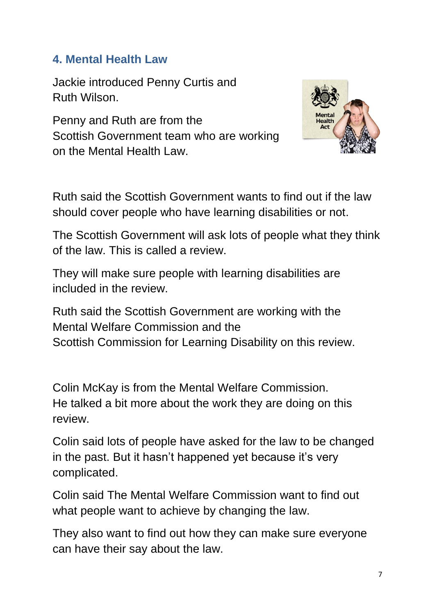#### **4. Mental Health Law**

Jackie introduced Penny Curtis and Ruth Wilson.

Penny and Ruth are from the Scottish Government team who are working on the Mental Health Law.



Ruth said the Scottish Government wants to find out if the law should cover people who have learning disabilities or not.

The Scottish Government will ask lots of people what they think of the law. This is called a review.

They will make sure people with learning disabilities are included in the review.

Ruth said the Scottish Government are working with the Mental Welfare Commission and the Scottish Commission for Learning Disability on this review.

Colin McKay is from the Mental Welfare Commission. He talked a bit more about the work they are doing on this review.

Colin said lots of people have asked for the law to be changed in the past. But it hasn't happened yet because it's very complicated.

Colin said The Mental Welfare Commission want to find out what people want to achieve by changing the law.

They also want to find out how they can make sure everyone can have their say about the law.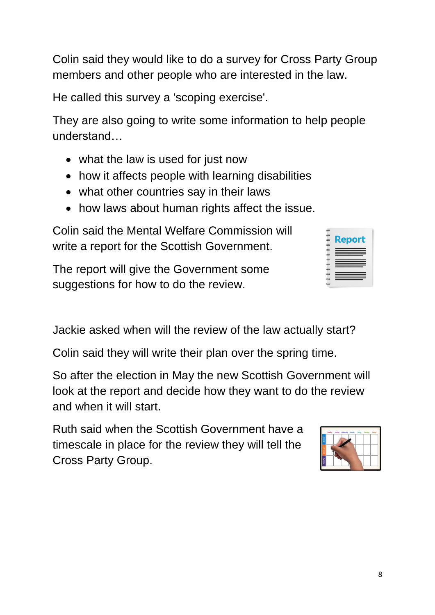Colin said they would like to do a survey for Cross Party Group members and other people who are interested in the law.

He called this survey a 'scoping exercise'.

They are also going to write some information to help people understand…

- what the law is used for just now
- how it affects people with learning disabilities
- what other countries say in their laws
- how laws about human rights affect the issue.

Colin said the Mental Welfare Commission will write a report for the Scottish Government.

The report will give the Government some suggestions for how to do the review.

|  |  |  | Jackie asked when will the review of the law actually start? |  |
|--|--|--|--------------------------------------------------------------|--|

Colin said they will write their plan over the spring time.

So after the election in May the new Scottish Government will look at the report and decide how they want to do the review and when it will start.

Ruth said when the Scottish Government have a timescale in place for the review they will tell the Cross Party Group.

|                |  | Norday Tuesday Wednesday Thursday Friday, Saturday Sanday |  |  |
|----------------|--|-----------------------------------------------------------|--|--|
| комик          |  |                                                           |  |  |
|                |  |                                                           |  |  |
|                |  |                                                           |  |  |
| <b>ECEMBER</b> |  |                                                           |  |  |

**Repo**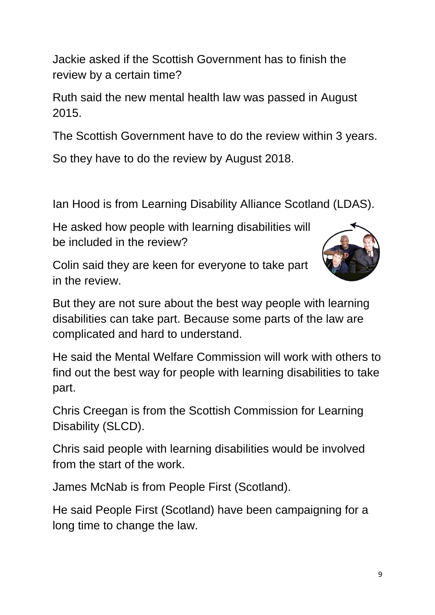Jackie asked if the Scottish Government has to finish the review by a certain time?

Ruth said the new mental health law was passed in August 2015.

The Scottish Government have to do the review within 3 years.

So they have to do the review by August 2018.

Ian Hood is from Learning Disability Alliance Scotland (LDAS).

He asked how people with learning disabilities will be included in the review?

Colin said they are keen for everyone to take part in the review.



But they are not sure about the best way people with learning disabilities can take part. Because some parts of the law are complicated and hard to understand.

He said the Mental Welfare Commission will work with others to find out the best way for people with learning disabilities to take part.

Chris Creegan is from the Scottish Commission for Learning Disability (SLCD).

Chris said people with learning disabilities would be involved from the start of the work.

James McNab is from People First (Scotland).

He said People First (Scotland) have been campaigning for a long time to change the law.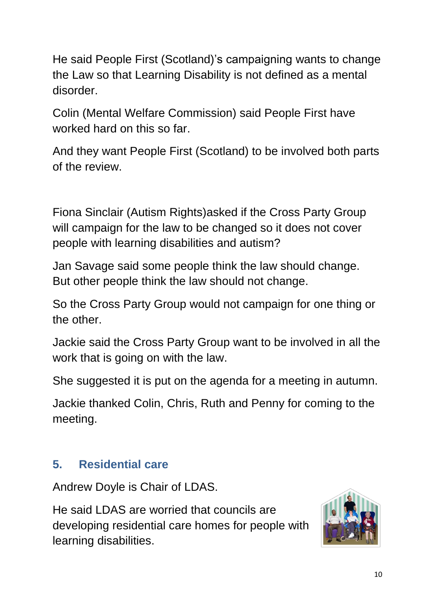He said People First (Scotland)'s campaigning wants to change the Law so that Learning Disability is not defined as a mental disorder.

Colin (Mental Welfare Commission) said People First have worked hard on this so far.

And they want People First (Scotland) to be involved both parts of the review.

Fiona Sinclair (Autism Rights)asked if the Cross Party Group will campaign for the law to be changed so it does not cover people with learning disabilities and autism?

Jan Savage said some people think the law should change. But other people think the law should not change.

So the Cross Party Group would not campaign for one thing or the other.

Jackie said the Cross Party Group want to be involved in all the work that is going on with the law.

She suggested it is put on the agenda for a meeting in autumn.

Jackie thanked Colin, Chris, Ruth and Penny for coming to the meeting.

## **5. Residential care**

Andrew Doyle is Chair of LDAS.

He said LDAS are worried that councils are developing residential care homes for people with learning disabilities.

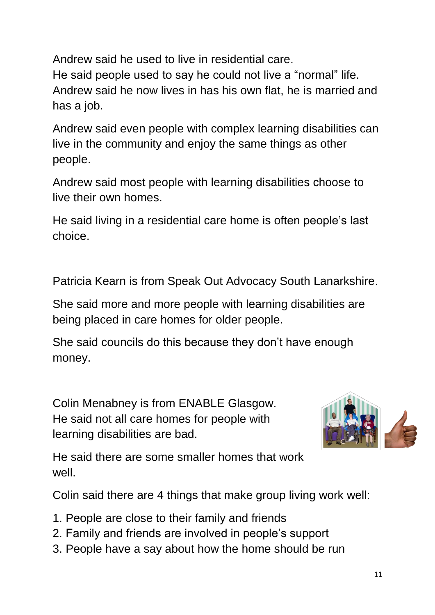Andrew said he used to live in residential care. He said people used to say he could not live a "normal" life. Andrew said he now lives in has his own flat, he is married and has a job.

Andrew said even people with complex learning disabilities can live in the community and enjoy the same things as other people.

Andrew said most people with learning disabilities choose to live their own homes.

He said living in a residential care home is often people's last choice.

Patricia Kearn is from Speak Out Advocacy South Lanarkshire.

She said more and more people with learning disabilities are being placed in care homes for older people.

She said councils do this because they don't have enough money.

Colin Menabney is from ENABLE Glasgow. He said not all care homes for people with learning disabilities are bad.



He said there are some smaller homes that work well.

Colin said there are 4 things that make group living work well:

- 1. People are close to their family and friends
- 2. Family and friends are involved in people's support
- 3. People have a say about how the home should be run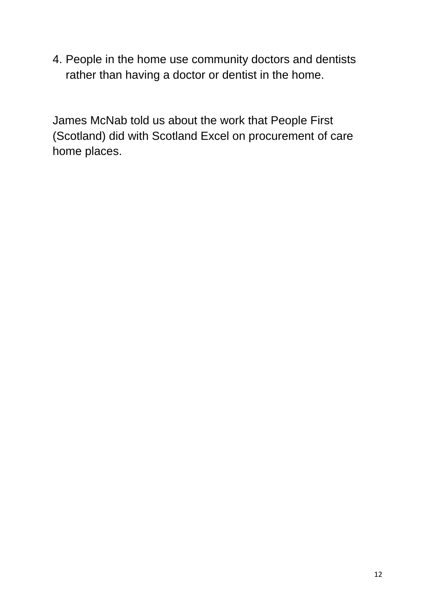4. People in the home use community doctors and dentists rather than having a doctor or dentist in the home.

James McNab told us about the work that People First (Scotland) did with Scotland Excel on procurement of care home places.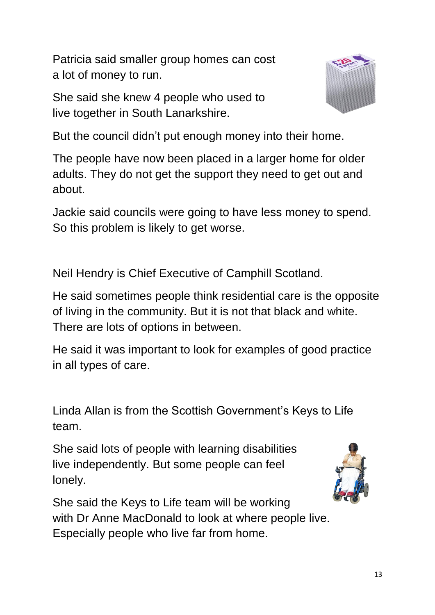Patricia said smaller group homes can cost a lot of money to run.

She said she knew 4 people who used to live together in South Lanarkshire.



But the council didn't put enough money into their home.

The people have now been placed in a larger home for older adults. They do not get the support they need to get out and about.

Jackie said councils were going to have less money to spend. So this problem is likely to get worse.

Neil Hendry is Chief Executive of Camphill Scotland.

He said sometimes people think residential care is the opposite of living in the community. But it is not that black and white. There are lots of options in between.

He said it was important to look for examples of good practice in all types of care.

Linda Allan is from the Scottish Government's Keys to Life team.

She said lots of people with learning disabilities live independently. But some people can feel lonely.



She said the Keys to Life team will be working with Dr Anne MacDonald to look at where people live. Especially people who live far from home.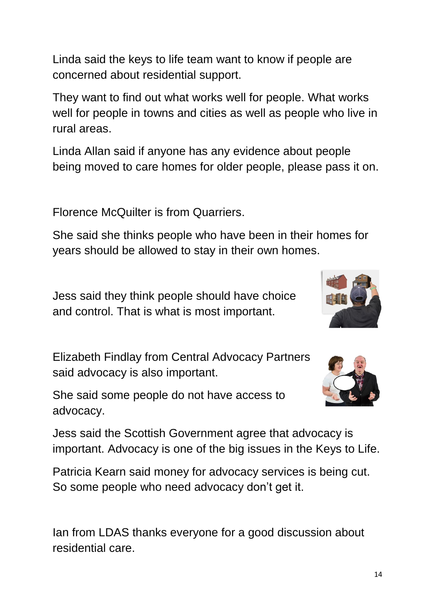Linda said the keys to life team want to know if people are concerned about residential support.

They want to find out what works well for people. What works well for people in towns and cities as well as people who live in rural areas.

Linda Allan said if anyone has any evidence about people being moved to care homes for older people, please pass it on.

Florence McQuilter is from Quarriers.

She said she thinks people who have been in their homes for years should be allowed to stay in their own homes.

Jess said they think people should have choice and control. That is what is most important.

Elizabeth Findlay from Central Advocacy Partners said advocacy is also important.

She said some people do not have access to advocacy.



Jess said the Scottish Government agree that advocacy is important. Advocacy is one of the big issues in the Keys to Life.

Patricia Kearn said money for advocacy services is being cut. So some people who need advocacy don't get it.

Ian from LDAS thanks everyone for a good discussion about residential care.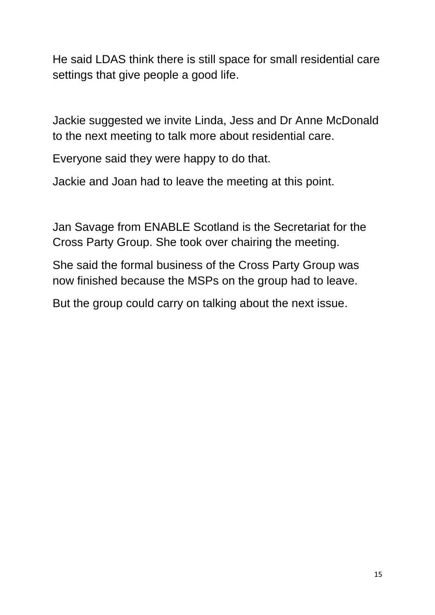He said LDAS think there is still space for small residential care settings that give people a good life.

Jackie suggested we invite Linda, Jess and Dr Anne McDonald to the next meeting to talk more about residential care.

Everyone said they were happy to do that.

Jackie and Joan had to leave the meeting at this point.

Jan Savage from ENABLE Scotland is the Secretariat for the Cross Party Group. She took over chairing the meeting.

She said the formal business of the Cross Party Group was now finished because the MSPs on the group had to leave.

But the group could carry on talking about the next issue.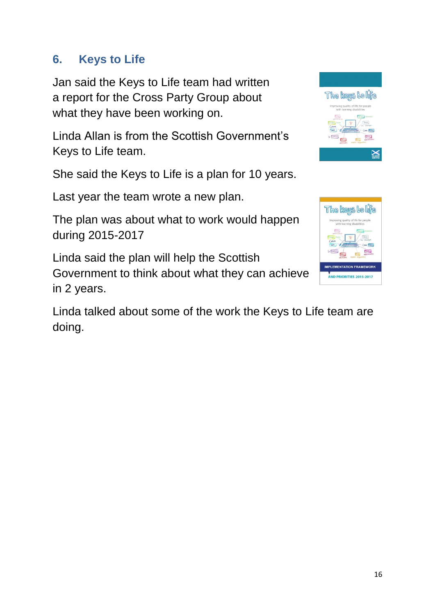#### **6. Keys to Life**

Jan said the Keys to Life team had written a report for the Cross Party Group about what they have been working on.

Linda Allan is from the Scottish Government's Keys to Life team.

She said the Keys to Life is a plan for 10 years.

Last year the team wrote a new plan.

The plan was about what to work would happen during 2015-2017

Linda said the plan will help the Scottish Government to think about what they can achieve in 2 years.

Linda talked about some of the work the Keys to Life team are doing.



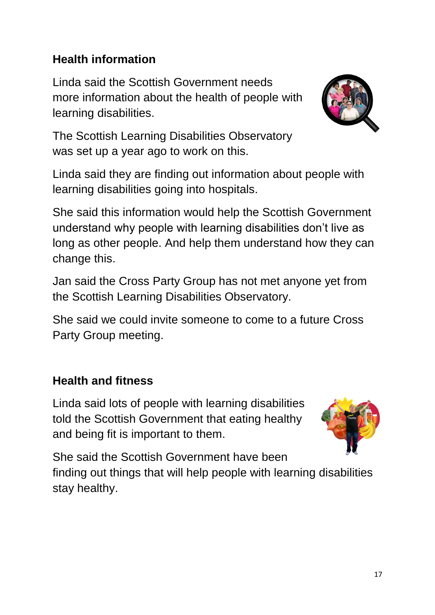### **Health information**

Linda said the Scottish Government needs more information about the health of people with learning disabilities.



The Scottish Learning Disabilities Observatory was set up a year ago to work on this.

Linda said they are finding out information about people with learning disabilities going into hospitals.

She said this information would help the Scottish Government understand why people with learning disabilities don't live as long as other people. And help them understand how they can change this.

Jan said the Cross Party Group has not met anyone yet from the Scottish Learning Disabilities Observatory.

She said we could invite someone to come to a future Cross Party Group meeting.

#### **Health and fitness**

Linda said lots of people with learning disabilities told the Scottish Government that eating healthy and being fit is important to them.



She said the Scottish Government have been finding out things that will help people with learning disabilities stay healthy.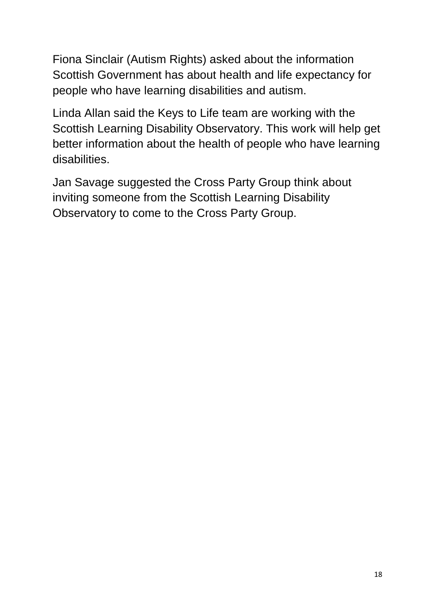Fiona Sinclair (Autism Rights) asked about the information Scottish Government has about health and life expectancy for people who have learning disabilities and autism.

Linda Allan said the Keys to Life team are working with the Scottish Learning Disability Observatory. This work will help get better information about the health of people who have learning disabilities.

Jan Savage suggested the Cross Party Group think about inviting someone from the Scottish Learning Disability Observatory to come to the Cross Party Group.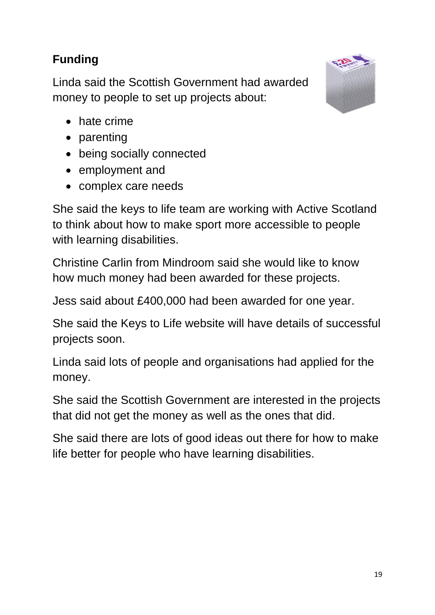# **Funding**

Linda said the Scottish Government had awarded money to people to set up projects about:



- hate crime
- parenting
- being socially connected
- employment and
- complex care needs

She said the keys to life team are working with Active Scotland to think about how to make sport more accessible to people with learning disabilities.

Christine Carlin from Mindroom said she would like to know how much money had been awarded for these projects.

Jess said about £400,000 had been awarded for one year.

She said the Keys to Life website will have details of successful projects soon.

Linda said lots of people and organisations had applied for the money.

She said the Scottish Government are interested in the projects that did not get the money as well as the ones that did.

She said there are lots of good ideas out there for how to make life better for people who have learning disabilities.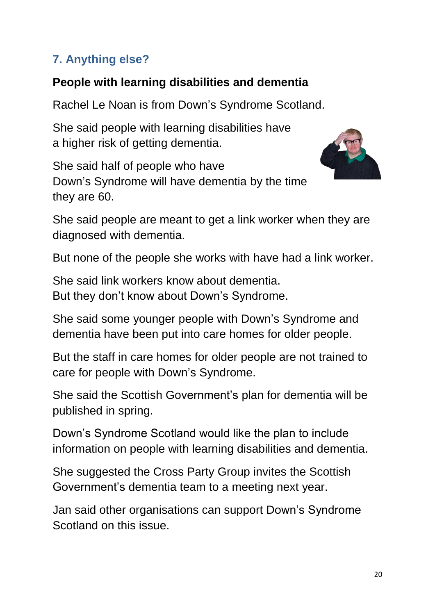# **7. Anything else?**

# **People with learning disabilities and dementia**

Rachel Le Noan is from Down's Syndrome Scotland.

She said people with learning disabilities have a higher risk of getting dementia.

She said half of people who have Down's Syndrome will have dementia by the time they are 60.



She said people are meant to get a link worker when they are diagnosed with dementia.

But none of the people she works with have had a link worker.

She said link workers know about dementia. But they don't know about Down's Syndrome.

She said some younger people with Down's Syndrome and dementia have been put into care homes for older people.

But the staff in care homes for older people are not trained to care for people with Down's Syndrome.

She said the Scottish Government's plan for dementia will be published in spring.

Down's Syndrome Scotland would like the plan to include information on people with learning disabilities and dementia.

She suggested the Cross Party Group invites the Scottish Government's dementia team to a meeting next year.

Jan said other organisations can support Down's Syndrome Scotland on this issue.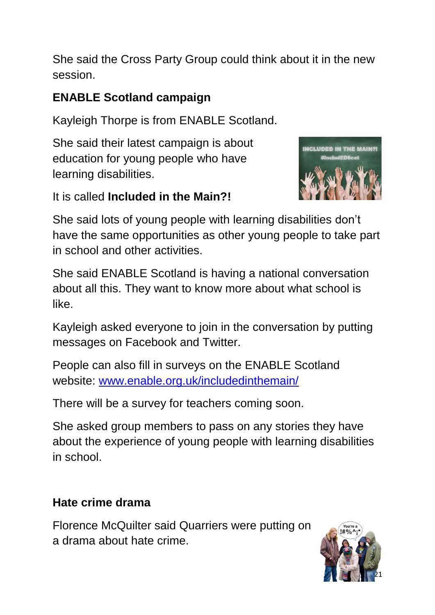She said the Cross Party Group could think about it in the new session.

# **ENABLE Scotland campaign**

Kayleigh Thorpe is from ENABLE Scotland.

She said their latest campaign is about education for young people who have learning disabilities.



It is called **Included in the Main?!** 

She said lots of young people with learning disabilities don't have the same opportunities as other young people to take part in school and other activities.

She said ENABLE Scotland is having a national conversation about all this. They want to know more about what school is like.

Kayleigh asked everyone to join in the conversation by putting messages on Facebook and Twitter.

People can also fill in surveys on the ENABLE Scotland website: [www.enable.org.uk/includedinthemain/](http://www.enable.org.uk/includedinthemain/)

There will be a survey for teachers coming soon.

She asked group members to pass on any stories they have about the experience of young people with learning disabilities in school.

# **Hate crime drama**

Florence McQuilter said Quarriers were putting on a drama about hate crime.

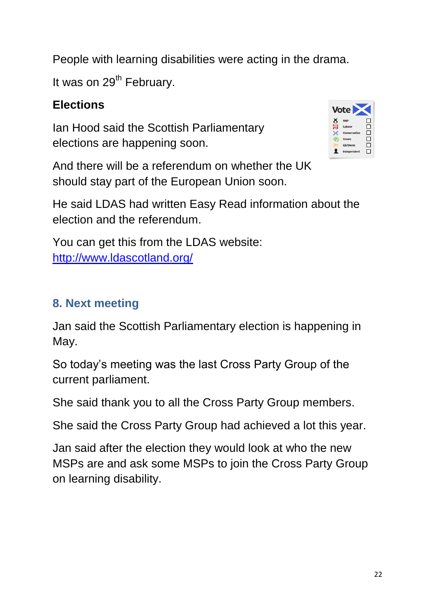People with learning disabilities were acting in the drama.

It was on  $29<sup>th</sup>$  February.

#### **Elections**

Ian Hood said the Scottish Parliamentary elections are happening soon.

|   | <b>Vote</b>     |    |
|---|-----------------|----|
| 8 | <b>SNP</b>      |    |
| 樂 | Labour          | п  |
|   | Conservative    | П  |
|   | <b>Green</b>    | ΙI |
|   | <b>Lib Dems</b> | H  |
|   | Independent     |    |

And there will be a referendum on whether the UK should stay part of the European Union soon.

He said LDAS had written Easy Read information about the election and the referendum.

You can get this from the LDAS website: <http://www.ldascotland.org/>

## **8. Next meeting**

Jan said the Scottish Parliamentary election is happening in May.

So today's meeting was the last Cross Party Group of the current parliament.

She said thank you to all the Cross Party Group members.

She said the Cross Party Group had achieved a lot this year.

Jan said after the election they would look at who the new MSPs are and ask some MSPs to join the Cross Party Group on learning disability.